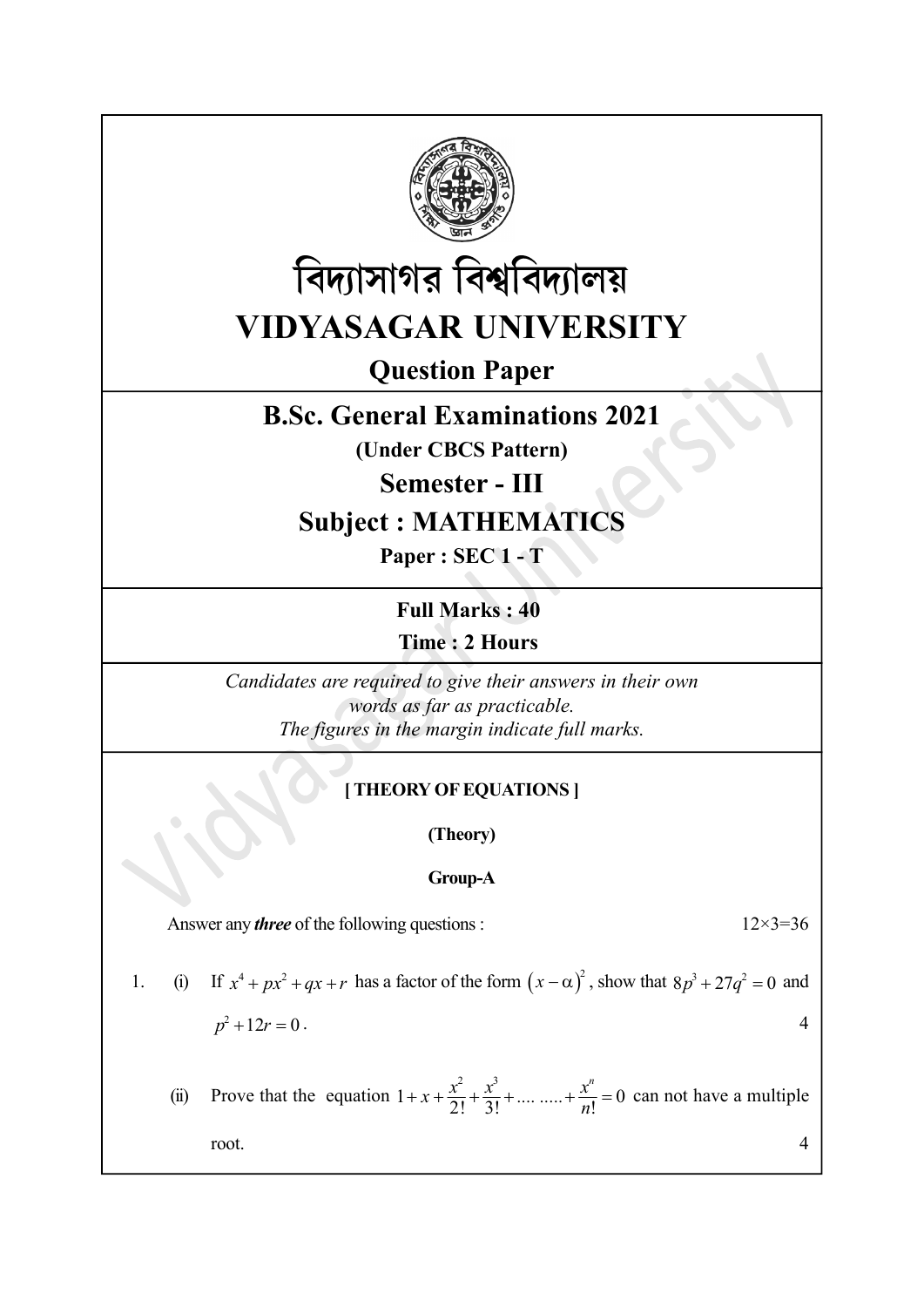



Question Paper

## B.Sc. General Examinations 2021

(Under CBCS Pattern)

Semester - III

## Subject : MATHEMATICS

Paper : SEC 1 - T

Full Marks : 40 Time : 2 Hours

Candidates are required to give their answers in their own words as far as practicable. The figures in the margin indicate full marks.

### [ THEORY OF EQUATIONS ]

(Theory)

#### Group-A

Answer any *three* of the following questions :  $12 \times 3 = 36$ 

1. (i) If  $x^4 + px^2 + qx + r$  has a factor of the form  $(x - \alpha)^2$ , show that  $8p^3 + 27q^2 = 0$  and  $p^2 + 12r = 0$ .

(ii) Prove that the equation  $1 + x + \frac{x^2}{2!} + \frac{x^3}{3!} + \dots + \frac{x^n}{n!} = 0$  can not have a multiple root.  $4 \mid$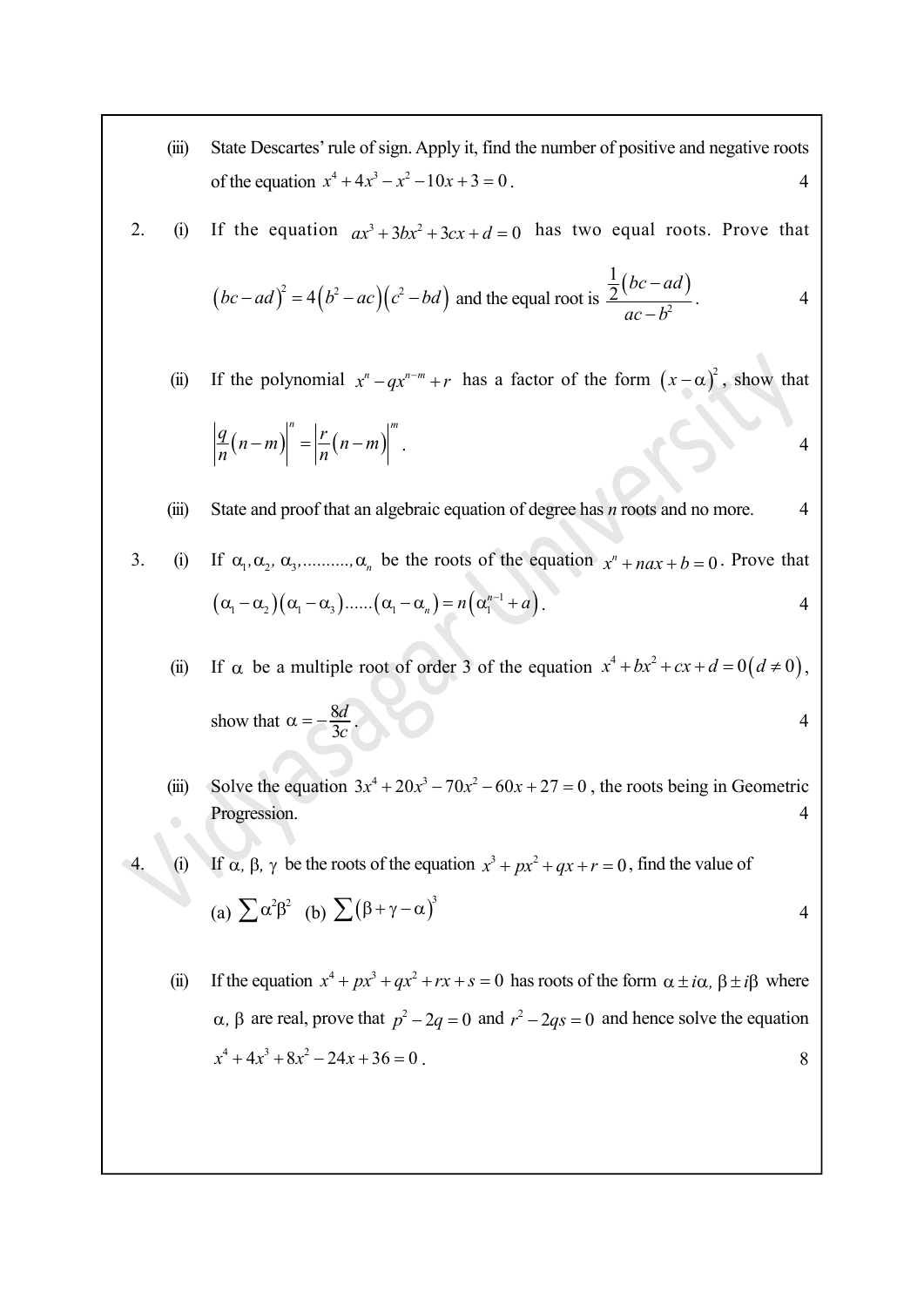(iii) State Descartes' rule of sign. Apply it, find the number of positive and negative roots of the equation  $x^4 + 4x^3 - x^2 - 10x + 3 = 0$ .

\n- (iii) State Descartes' rule of sign. Apply it, find the number of positive and negative roots of the equation 
$$
x^4 + 4x^3 - x^2 - 10x + 3 = 0
$$
.
\n- (i) If the equation  $ax^3 + 3bx^2 + 3cx + d = 0$  has two equal roots. Prove that  $(bc - ad)^2 = 4(b^2 - ac)(c^2 - bd)$  and the equal root is  $\frac{\frac{1}{2}(bc - ad)}{ac - b^2}$ .
\n- (ii) If the polynomial  $x^n - qx^{n-m} + r$  has a factor of the form  $(x - \alpha)^2$ , show that  $\left| \frac{q}{n}(n-m) \right|^n = \left| \frac{r}{n}(n-m) \right|^m$ .
\n- (iii) State and proof that an algebraic equation of degree has *n* roots and no more.
\n

$$
(bc-ad)^2 = 4(b^2-ac)(c^2-bd) \text{ and the equal root is } \frac{\frac{1}{2}(bc-ad)}{ac-b^2}.
$$

(ii) If the polynomial  $x^n - qx^{n-m} + r$  has a factor of the form  $(x - \alpha)^2$ , show that

$$
\left|\frac{q}{n}(n-m)\right|^n = \left|\frac{r}{n}(n-m)\right|^m.
$$

#### (iii) State and proof that an algebraic equation of degree has  $n$  roots and no more. 4

3. (i) If  $\alpha_1, \alpha_2, \alpha_3, \ldots, \alpha_n$  be the roots of the equation  $x^n + nax + b = 0$ . Prove that  $(\alpha_1-\alpha_2)(\alpha_1-\alpha_3)$ ...... $(\alpha_1-\alpha_n)=n(\alpha_1^{n-1}+a)$ .  $\alpha_1-\alpha_2(\alpha_1-\alpha_3)$ ...... $(\alpha_1-\alpha_n)=n(\alpha_1^{n-1}+a)$ . 4

(ii) If  $\alpha$  be a multiple root of order 3 of the equation  $x^4 + bx^2 + cx + d = 0(d \neq 0)$ , show that  $\alpha = -\frac{8d}{3c}$  $rac{8d}{3c}$  4

(iii) Solve the equation  $3x^4 + 20x^3 - 70x^2 - 60x + 27 = 0$ , the roots being in Geometric Progression. 4 | 1

4. (i) If  $\alpha$ ,  $\beta$ ,  $\gamma$  be the roots of the equation  $x^3 + px^2 + qx + r = 0$ , find the value of

(a) 
$$
\sum \alpha^2 \beta^2
$$
 (b)  $\sum (\beta + \gamma - \alpha)^3$ 

- 4
- (ii) If the equation  $x^4 + px^3 + qx^2 + rx + s = 0$  has roots of the form  $\alpha \pm i\alpha$ ,  $\beta \pm i\beta$  where  $\alpha$ ,  $\beta$  are real, prove that  $p^2 - 2q = 0$  and  $r^2 - 2qs = 0$  and hence solve the equation  $x^4 + 4x^3 + 8x^2 - 24x + 36 = 0$ .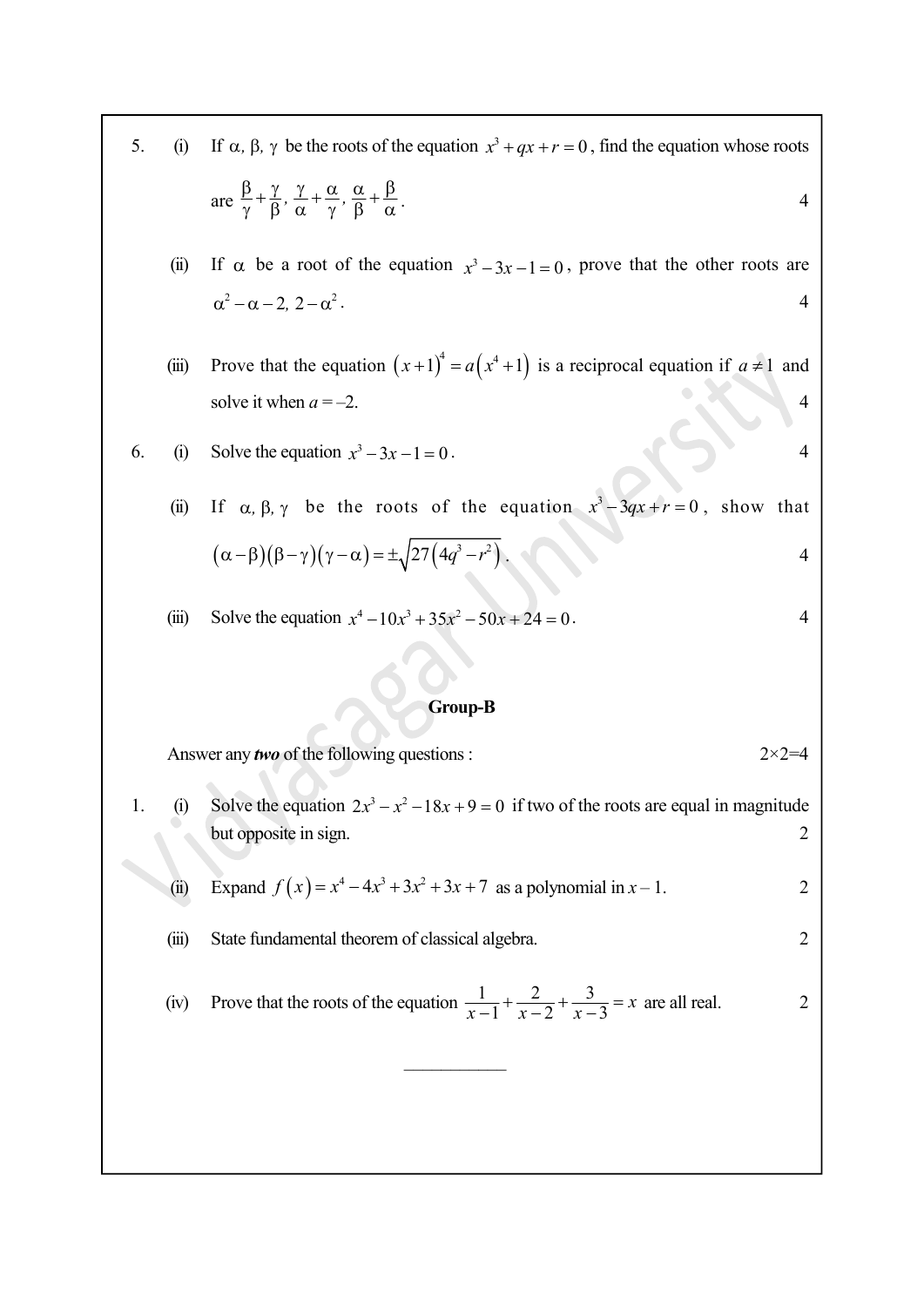- 5. (i) If  $\alpha$ ,  $\beta$ ,  $\gamma$  be the roots of the equation  $x^3 + qx + r = 0$ , find the equation whose roots are  $\frac{\beta}{\gamma} + \frac{\gamma}{\beta}, \frac{\gamma}{\alpha} + \frac{\alpha}{\gamma}, \frac{\alpha}{\beta} + \frac{\beta}{\alpha}$ .
	- (ii) If  $\alpha$  be a root of the equation  $x^3 3x 1 = 0$ , prove that the other roots are  $\alpha^2 - \alpha - 2$ ,  $2 - \alpha^2$ .
	- (iii) Prove that the equation  $(x+1)^4 = a(x^4 + 1)$  is a reciprocal equation if  $a \ne 1$  and solve it when  $a = -2$ . 4

6. (i) Solve the equation 
$$
x^3 - 3x - 1 = 0
$$
. 4

\n- (i) If α, β, γ be the roots of the equation 
$$
x + qx + r = 0
$$
, find the equation whose roots are  $\frac{\beta}{\gamma} + \frac{\gamma}{\beta}, \frac{\gamma}{\alpha} + \frac{\alpha}{\gamma}, \frac{\alpha}{\beta} + \frac{\beta}{\alpha}$ .
\n- (ii) If α be a root of the equation  $x^3 - 3x - 1 = 0$ , prove that the other roots are  $\alpha^2 - \alpha - 2$ ,  $2 - \alpha^2$ .
\n- (iii) Prove that the equation  $(x + 1)^4 = a(x^4 + 1)$  is a reciprocal equation if  $a \neq 1$  and solve it when  $a = -2$ .
\n- (i) Solve the equation  $x^3 - 3x - 1 = 0$ .
\n- (ii) If α, β, γ be the roots of the equation  $x^3 - 3qx + r = 0$ , show that  $(\alpha - \beta)(\beta - \gamma)(\gamma - \alpha) = \pm \sqrt{27(4q^3 - r^2)}$ .
\n- (iii) Solve the equation  $x^4 - 10x^3 + 35x^2 - 50x + 24 = 0$ .
\n

(iii) Solve the equation  $x^4 - 10x^3 + 35x^2 - 50x + 24 = 0$ .

#### Group-B

Answer any *two* of the following questions :  $2 \times 2 = 4$ 

1. (i) Solve the equation  $2x^3 - x^2 - 18x + 9 = 0$  if two of the roots are equal in magnitude but opposite in sign. 2

(ii) Expand 
$$
f(x) = x^4 - 4x^3 + 3x^2 + 3x + 7
$$
 as a polynomial in  $x - 1$ .

(iii) State fundamental theorem of classical algebra. 2

(iv) Prove that the roots of the equation 
$$
\frac{1}{x-1} + \frac{2}{x-2} + \frac{3}{x-3} = x
$$
 are all real.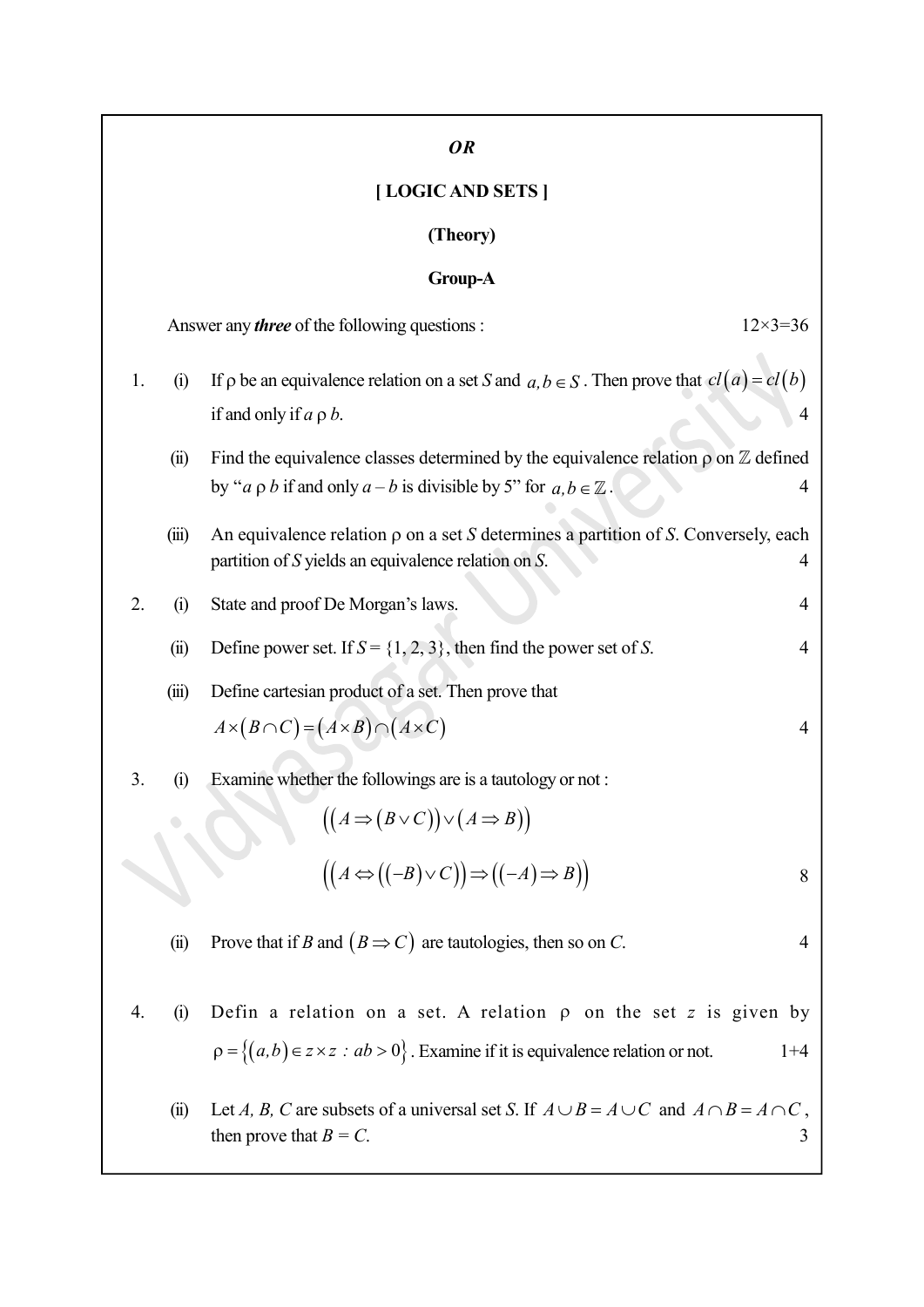# OR [ LOGIC AND SETS ] (Theory) Group-A Answer any *three* of the following questions :  $12 \times 3 = 36$ 1. (i) If  $\rho$  be an equivalence relation on a set S and  $a, b \in S$ . Then prove that  $cl(a) = cl(b)$ if and only if  $a \rho b$ .  $4a \rho b$ (ii) Find the equivalence classes determined by the equivalence relation  $\rho$  on  $\mathbb Z$  defined by "a  $\rho b$  if and only  $a - b$  is divisible by 5" for  $a, b \in \mathbb{Z}$ . 4 (iii) An equivalence relation  $\rho$  on a set S determines a partition of S. Conversely, each partition of S yields an equivalence relation on S. 4 2. (i) State and proof De Morgan's laws. 4 (ii) Define power set. If  $S = \{1, 2, 3\}$ , then find the power set of S. 4 (iii) Define cartesian product of a set. Then prove that  $A \times (B \cap C) = (A \times B) \cap (A \times C)$ 3. (i) Examine whether the followings are is a tautology or not :  $((A \Rightarrow (B \lor C)) \lor (A \Rightarrow B))$ only  $a - b$  is divisible by  $S^*$  for  $a, b \in \mathbb{Z}$ .<br>
relation  $\rho$  on a set  $S$  determines a partition of  $S$ . Conversely, each<br>
relation  $\rho$  on a set  $S$  determines a partition of  $S$ . Conversely, each<br>
De Morgan's laws (ii) Prove that if B and  $(B \implies C)$  are tautologies, then so on C. 4 4. (i) Defin a relation on a set. A relation  $\rho$  on the set z is given by  $\rho = \{(a,b) \in z \times z : ab > 0\}$ . Examine if it is equivalence relation or not. 1+4 (ii) Let A, B, C are subsets of a universal set S. If  $A \cup B = A \cup C$  and  $A \cap B = A \cap C$ , then prove that  $B = C$ . 3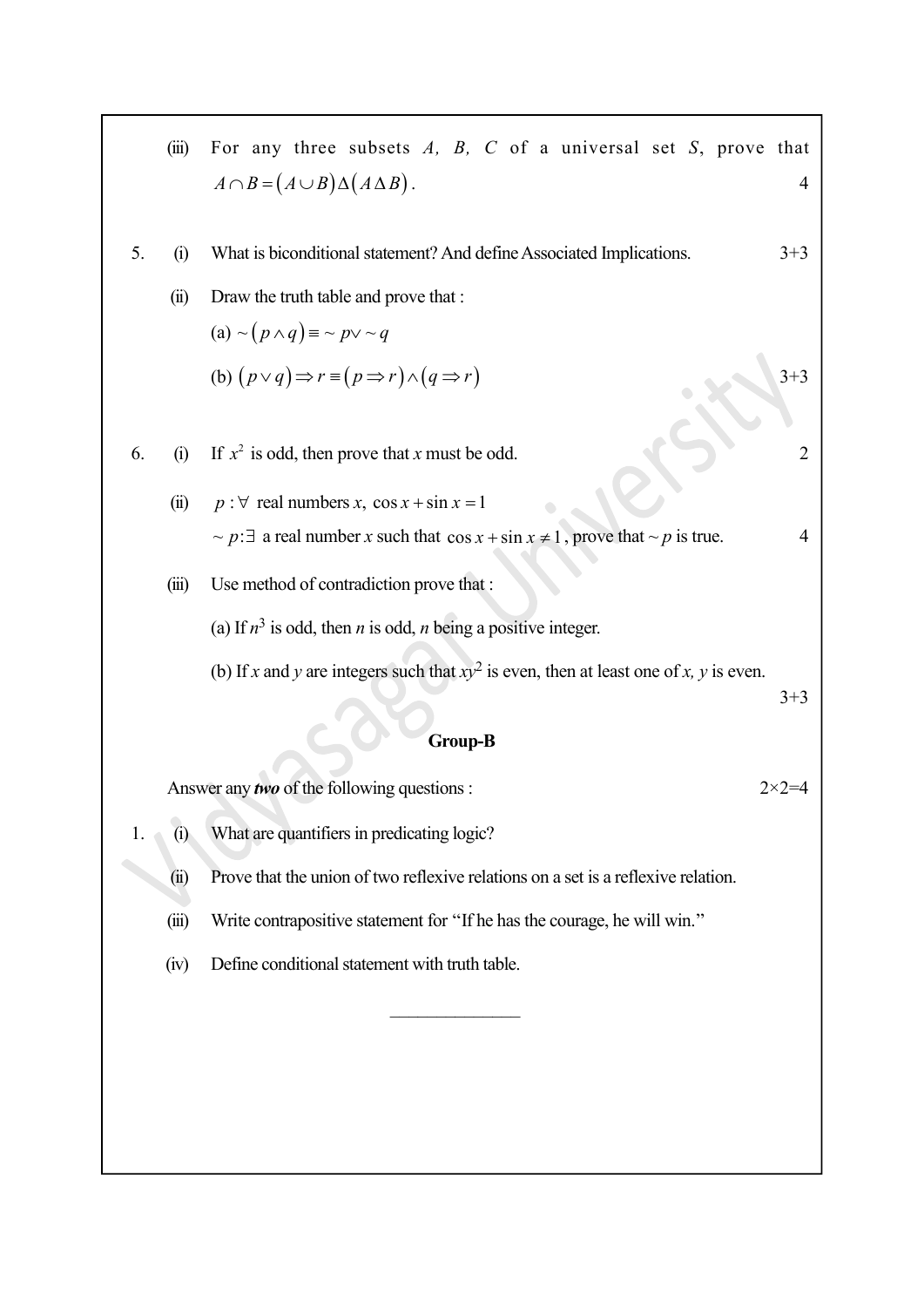|                | (iii)                                                                                    | For any three subsets $A$ , $B$ , $C$ of a universal set $S$ , prove that                  |                  |  |  |  |  |
|----------------|------------------------------------------------------------------------------------------|--------------------------------------------------------------------------------------------|------------------|--|--|--|--|
|                |                                                                                          | $A \cap B = (A \cup B) \Delta (A \Delta B).$                                               | 4                |  |  |  |  |
| 5.             | (i)                                                                                      | What is biconditional statement? And define Associated Implications.                       | $3+3$            |  |  |  |  |
|                | (ii)                                                                                     | Draw the truth table and prove that :                                                      |                  |  |  |  |  |
|                |                                                                                          | (a) $\sim (p \wedge q) \equiv \sim p \vee \sim q$                                          |                  |  |  |  |  |
|                |                                                                                          | (b) $(p \lor q) \Rightarrow r \equiv (p \Rightarrow r) \land (q \Rightarrow r)$            | $3 + 3$          |  |  |  |  |
|                |                                                                                          |                                                                                            |                  |  |  |  |  |
| 6.             | (i)                                                                                      | If $x^2$ is odd, then prove that x must be odd.                                            | $\overline{2}$   |  |  |  |  |
|                | (ii)                                                                                     | $p : \forall$ real numbers x, cos x + sin x = 1                                            |                  |  |  |  |  |
|                |                                                                                          | ~ $p: \exists$ a real number x such that $\cos x + \sin x \ne 1$ , prove that ~ p is true. | 4                |  |  |  |  |
|                | (iii)                                                                                    | Use method of contradiction prove that :                                                   |                  |  |  |  |  |
|                |                                                                                          | (a) If $n^3$ is odd, then <i>n</i> is odd, <i>n</i> being a positive integer.              |                  |  |  |  |  |
|                | (b) If x and y are integers such that $xy^2$ is even, then at least one of x, y is even. |                                                                                            |                  |  |  |  |  |
|                |                                                                                          |                                                                                            | $3 + 3$          |  |  |  |  |
| <b>Group-B</b> |                                                                                          |                                                                                            |                  |  |  |  |  |
|                |                                                                                          | Answer any two of the following questions :                                                | $2 \times 2 = 4$ |  |  |  |  |
| 1.             | $\sim$<br>(i)                                                                            | What are quantifiers in predicating logic?                                                 |                  |  |  |  |  |
|                | (ii)                                                                                     | Prove that the union of two reflexive relations on a set is a reflexive relation.          |                  |  |  |  |  |
|                | (iii)                                                                                    | Write contrapositive statement for "If he has the courage, he will win."                   |                  |  |  |  |  |
|                | (iv)                                                                                     | Define conditional statement with truth table.                                             |                  |  |  |  |  |
|                |                                                                                          |                                                                                            |                  |  |  |  |  |
|                |                                                                                          |                                                                                            |                  |  |  |  |  |
|                |                                                                                          |                                                                                            |                  |  |  |  |  |
|                |                                                                                          |                                                                                            |                  |  |  |  |  |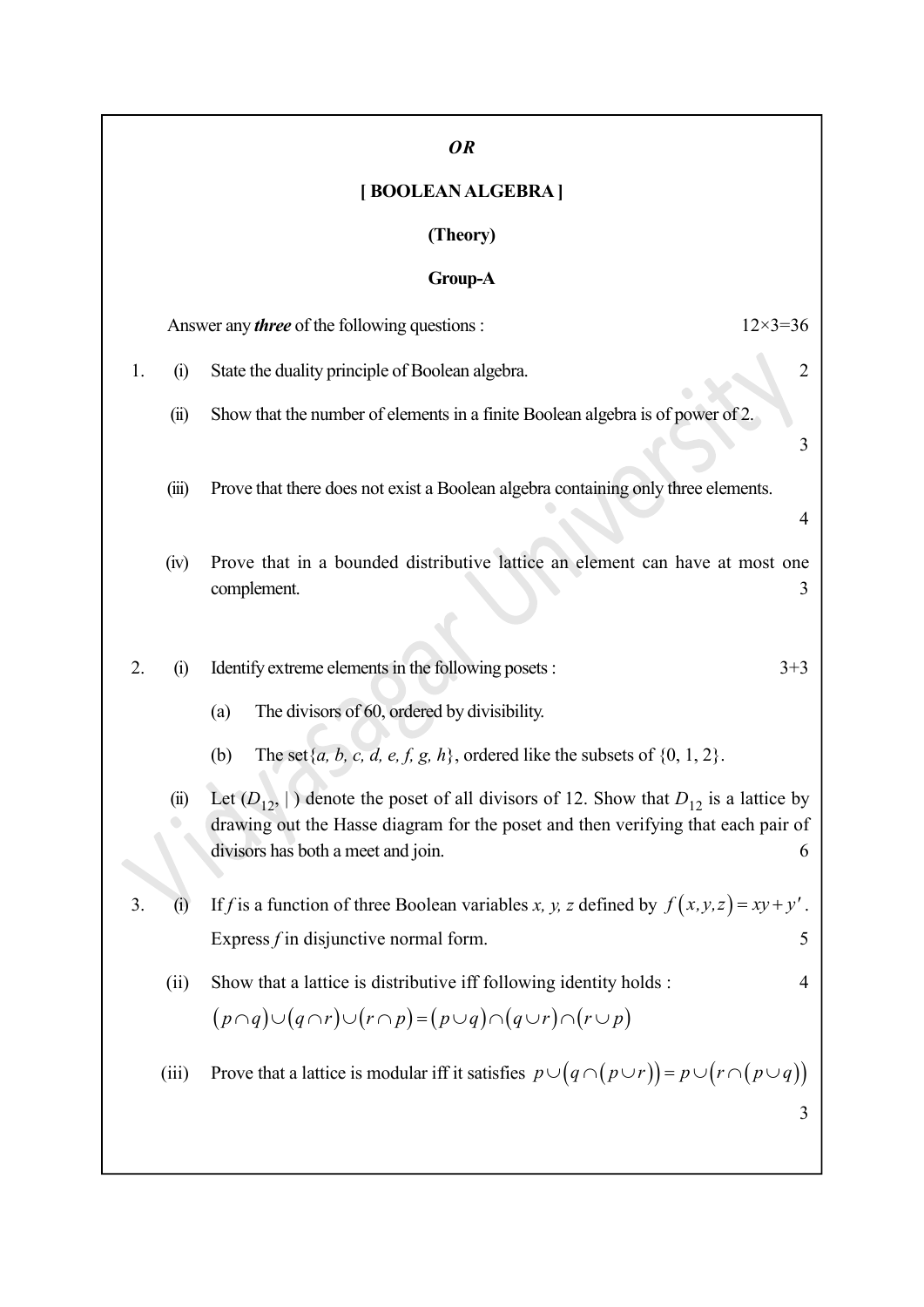|    |       | OR                                                                                                                                                                                                                          |
|----|-------|-----------------------------------------------------------------------------------------------------------------------------------------------------------------------------------------------------------------------------|
|    |       | [BOOLEAN ALGEBRA]                                                                                                                                                                                                           |
|    |       | (Theory)                                                                                                                                                                                                                    |
|    |       | Group-A                                                                                                                                                                                                                     |
|    |       | $12 \times 3 = 36$<br>Answer any <i>three</i> of the following questions :                                                                                                                                                  |
| 1. | (i)   | State the duality principle of Boolean algebra.<br>$\overline{2}$                                                                                                                                                           |
|    | (ii)  | Show that the number of elements in a finite Boolean algebra is of power of 2.<br>3                                                                                                                                         |
|    | (iii) | Prove that there does not exist a Boolean algebra containing only three elements.                                                                                                                                           |
|    |       | 4                                                                                                                                                                                                                           |
|    | (iv)  | Prove that in a bounded distributive lattice an element can have at most one<br>complement.<br>3                                                                                                                            |
| 2. | (i)   | Identify extreme elements in the following posets :<br>$3 + 3$                                                                                                                                                              |
|    |       | The divisors of 60, ordered by divisibility.<br>(a)                                                                                                                                                                         |
|    |       | The set $\{a, b, c, d, e, f, g, h\}$ , ordered like the subsets of $\{0, 1, 2\}$ .<br>(b)                                                                                                                                   |
|    | (ii)  | Let $(D_{12},  )$ denote the poset of all divisors of 12. Show that $D_{12}$ is a lattice by<br>drawing out the Hasse diagram for the poset and then verifying that each pair of<br>divisors has both a meet and join.<br>6 |
| 3. | (i)   | If f is a function of three Boolean variables x, y, z defined by $f(x, y, z) = xy + y'$ .                                                                                                                                   |
|    |       | Express $f$ in disjunctive normal form.<br>5                                                                                                                                                                                |
|    | (ii)  | Show that a lattice is distributive iff following identity holds :<br>4                                                                                                                                                     |
|    |       | $(p \cap q) \cup (q \cap r) \cup (r \cap p) = (p \cup q) \cap (q \cup r) \cap (r \cup p)$                                                                                                                                   |
|    | (iii) | Prove that a lattice is modular iff it satisfies $p \cup (q \cap (p \cup r)) = p \cup (r \cap (p \cup q))$<br>3                                                                                                             |
|    |       |                                                                                                                                                                                                                             |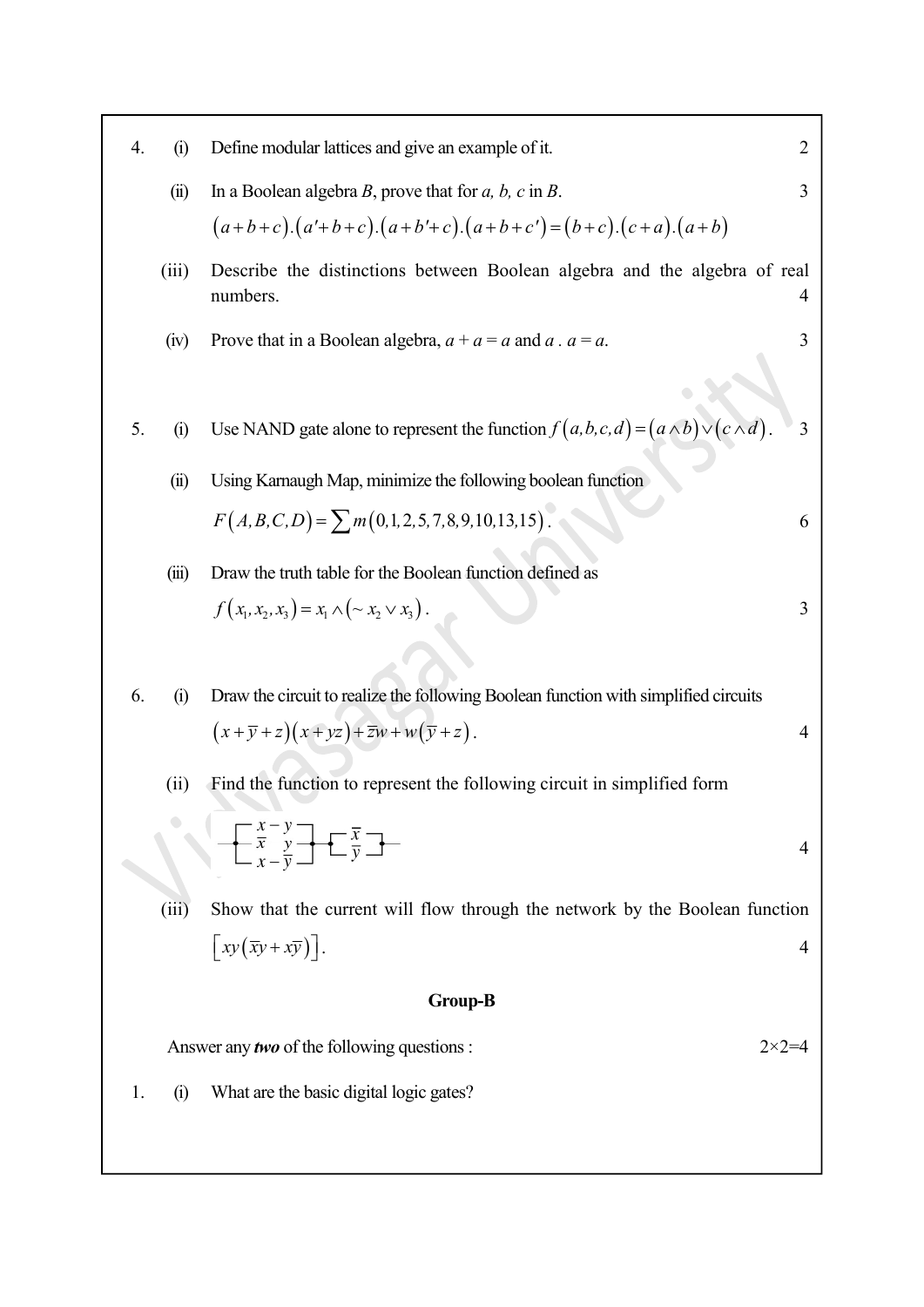| 4.             | (i)                                                                    | Define modular lattices and give an example of it.                                                                     | 2              |  |  |  |  |
|----------------|------------------------------------------------------------------------|------------------------------------------------------------------------------------------------------------------------|----------------|--|--|--|--|
|                | (ii)                                                                   | In a Boolean algebra $B$ , prove that for $a$ , $b$ , $c$ in $B$ .                                                     | 3              |  |  |  |  |
|                |                                                                        | $(a+b+c)$ . $(a'+b+c)$ . $(a+b'+c)$ . $(a+b+c') = (b+c)$ . $(c+a)$ . $(a+b)$                                           |                |  |  |  |  |
|                | (iii)                                                                  | Describe the distinctions between Boolean algebra and the algebra of real<br>numbers.                                  | 4              |  |  |  |  |
|                | (iv)                                                                   | Prove that in a Boolean algebra, $a + a = a$ and a . $a = a$ .                                                         | 3              |  |  |  |  |
| 5.             | (i)                                                                    | Use NAND gate alone to represent the function $f(a,b,c,d) = (a \wedge b) \vee (c \wedge d)$ .                          | 3              |  |  |  |  |
|                | (ii)                                                                   | Using Karnaugh Map, minimize the following boolean function                                                            |                |  |  |  |  |
|                |                                                                        | $F(A, B, C, D) = \sum m(0, 1, 2, 5, 7, 8, 9, 10, 13, 15).$                                                             | 6              |  |  |  |  |
|                | (iii)                                                                  | Draw the truth table for the Boolean function defined as                                                               |                |  |  |  |  |
|                |                                                                        | $f(x_1, x_2, x_3) = x_1 \wedge (\sim x_2 \vee x_3).$                                                                   | 3              |  |  |  |  |
|                |                                                                        |                                                                                                                        |                |  |  |  |  |
| 6.             | (i)                                                                    | Draw the circuit to realize the following Boolean function with simplified circuits                                    |                |  |  |  |  |
|                |                                                                        | $(x+\overline{y}+z)(x+yz)+\overline{z}w+w(\overline{y}+z)$ .                                                           | 4              |  |  |  |  |
|                | (ii)                                                                   | Find the function to represent the following circuit in simplified form                                                |                |  |  |  |  |
|                |                                                                        | $\begin{array}{ c c }\n\hline\nx - y \\ \hline\n\hline\nx - y \\ \hline\ny\n\end{array}$<br>$\left[\frac{x}{y}\right]$ | 4              |  |  |  |  |
|                | (iii)                                                                  | Show that the current will flow through the network by the Boolean function                                            |                |  |  |  |  |
|                |                                                                        | $\left\lceil xy(\overline{xy}+x\overline{y})\right\rceil$ .                                                            | $\overline{4}$ |  |  |  |  |
| <b>Group-B</b> |                                                                        |                                                                                                                        |                |  |  |  |  |
|                | Answer any <i>two</i> of the following questions :<br>$2 \times 2 = 4$ |                                                                                                                        |                |  |  |  |  |
| 1.             | (i)                                                                    | What are the basic digital logic gates?                                                                                |                |  |  |  |  |